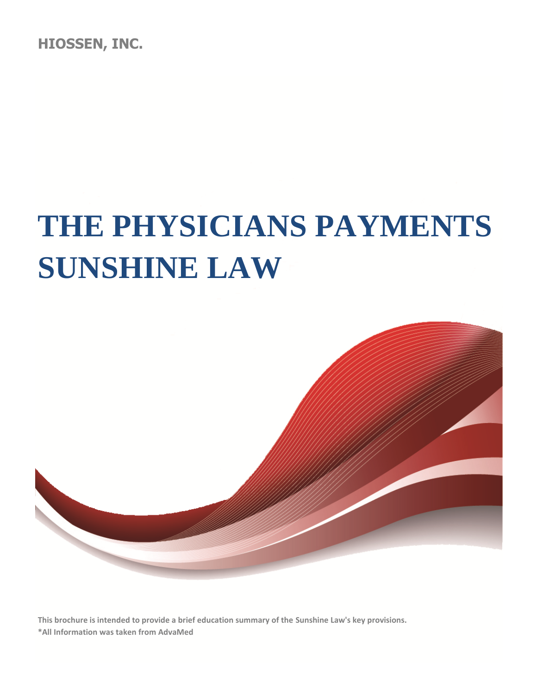**HIOSSEN, INC.**

# **THE PHYSICIANS PAYMENTS SUNSHINE LAW**



**This brochure is intended to provide a brief education summary of the Sunshine Law's key provisions. \*All Information was taken from AdvaMed**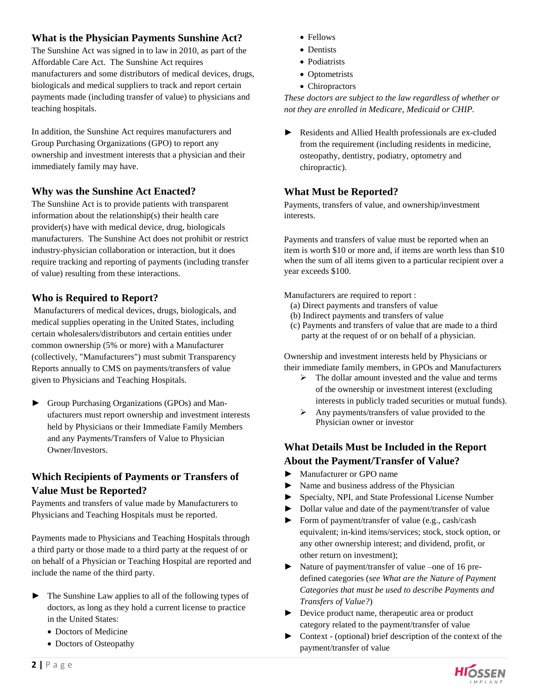#### **What is the Physician Payments Sunshine Act?**

The Sunshine Act was signed in to law in 2010, as part of the Affordable Care Act. The Sunshine Act requires manufacturers and some distributors of medical devices, drugs, biologicals and medical suppliers to track and report certain payments made (including transfer of value) to physicians and teaching hospitals.

In addition, the Sunshine Act requires manufacturers and Group Purchasing Organizations (GPO) to report any ownership and investment interests that a physician and their immediately family may have.

#### **Why was the Sunshine Act Enacted?**

The Sunshine Act is to provide patients with transparent information about the relationship(s) their health care provider(s) have with medical device, drug, biologicals manufacturers. The Sunshine Act does not prohibit or restrict industry-physician collaboration or interaction, but it does require tracking and reporting of payments (including transfer of value) resulting from these interactions.

#### **Who is Required to Report?**

Manufacturers of medical devices, drugs, biologicals, and medical supplies operating in the United States, including certain wholesalers/distributors and certain entities under common ownership (5% or more) with a Manufacturer (collectively, "Manufacturers") must submit Transparency Reports annually to CMS on payments/transfers of value given to Physicians and Teaching Hospitals.

► Group Purchasing Organizations (GPOs) and Manufacturers must report ownership and investment interests held by Physicians or their Immediate Family Members and any Payments/Transfers of Value to Physician Owner/Investors.

#### **Which Recipients of Payments or Transfers of Value Must be Reported?**

Payments and transfers of value made by Manufacturers to Physicians and Teaching Hospitals must be reported.

Payments made to Physicians and Teaching Hospitals through a third party or those made to a third party at the request of or on behalf of a Physician or Teaching Hospital are reported and include the name of the third party.

- ► The Sunshine Law applies to all of the following types of doctors, as long as they hold a current license to practice in the United States:
	- Doctors of Medicine
	- Doctors of Osteopathy
- Fellows
- Dentists
- Podiatrists
- Optometrists
- Chiropractors

*These doctors are subject to the law regardless of whether or not they are enrolled in Medicare, Medicaid or CHIP.* 

► Residents and Allied Health professionals are ex-cluded from the requirement (including residents in medicine, osteopathy, dentistry, podiatry, optometry and chiropractic).

#### **What Must be Reported?**

Payments, transfers of value, and ownership/investment interests.

Payments and transfers of value must be reported when an item is worth \$10 or more and, if items are worth less than \$10 when the sum of all items given to a particular recipient over a year exceeds \$100.

Manufacturers are required to report :

- (a) Direct payments and transfers of value
- (b) Indirect payments and transfers of value
- (c) Payments and transfers of value that are made to a third party at the request of or on behalf of a physician.

Ownership and investment interests held by Physicians or their immediate family members, in GPOs and Manufacturers

- $\triangleright$  The dollar amount invested and the value and terms of the ownership or investment interest (excluding interests in publicly traded securities or mutual funds).
- $\triangleright$  Any payments/transfers of value provided to the Physician owner or investor

# **What Details Must be Included in the Report About the Payment/Transfer of Value?**

- ► Manufacturer or GPO name
- ► Name and business address of the Physician
- ► Specialty, NPI, and State Professional License Number
- ► Dollar value and date of the payment/transfer of value
- ► Form of payment/transfer of value (e.g., cash/cash equivalent; in-kind items/services; stock, stock option, or any other ownership interest; and dividend, profit, or other return on investment);
- ► Nature of payment/transfer of value –one of 16 predefined categories (*see What are the Nature of Payment Categories that must be used to describe Payments and Transfers of Value?*)
- ► Device product name, therapeutic area or product category related to the payment/transfer of value
- ► Context (optional) brief description of the context of the payment/transfer of value

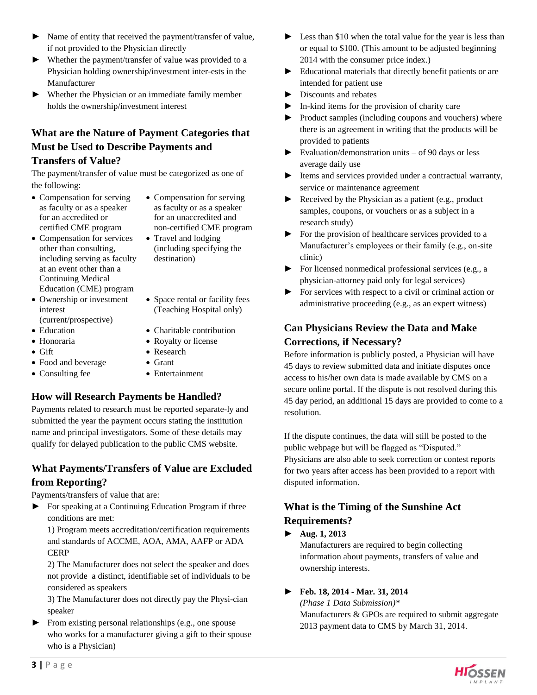- ► Name of entity that received the payment/transfer of value, if not provided to the Physician directly
- ► Whether the payment/transfer of value was provided to a Physician holding ownership/investment inter-ests in the Manufacturer
- ► Whether the Physician or an immediate family member holds the ownership/investment interest

# **What are the Nature of Payment Categories that Must be Used to Describe Payments and Transfers of Value?**

The payment/transfer of value must be categorized as one of the following:

- Compensation for serving as faculty or as a speaker for an accredited or certified CME program
- Compensation for services other than consulting, including serving as faculty at an event other than a Continuing Medical Education (CME) program
- Ownership or investment interest
- (current/prospective)
- 
- 
- 
- Food and beverage Grant
- 
- Compensation for serving as faculty or as a speaker for an unaccredited and non-certified CME program
- Travel and lodging (including specifying the destination)
- Space rental or facility fees (Teaching Hospital only)
- Education Charitable contribution
- Honoraria Royalty or license
- Gift Research
	-
- Consulting fee Entertainment

# **How will Research Payments be Handled?**

Payments related to research must be reported separate-ly and submitted the year the payment occurs stating the institution name and principal investigators. Some of these details may qualify for delayed publication to the public CMS website.

#### **What Payments/Transfers of Value are Excluded from Reporting?**

Payments/transfers of value that are:

► For speaking at a Continuing Education Program if three conditions are met:

1) Program meets accreditation/certification requirements and standards of ACCME, AOA, AMA, AAFP or ADA CERP

2) The Manufacturer does not select the speaker and does not provide a distinct, identifiable set of individuals to be considered as speakers

3) The Manufacturer does not directly pay the Physi-cian speaker

► From existing personal relationships (e.g., one spouse who works for a manufacturer giving a gift to their spouse who is a Physician)

- ► Less than \$10 when the total value for the year is less than or equal to \$100. (This amount to be adjusted beginning 2014 with the consumer price index.)
- ► Educational materials that directly benefit patients or are intended for patient use
- ► Discounts and rebates
- ► In-kind items for the provision of charity care
- Product samples (including coupons and vouchers) where there is an agreement in writing that the products will be provided to patients
- $\blacktriangleright$  Evaluation/demonstration units of 90 days or less average daily use
- ► Items and services provided under a contractual warranty, service or maintenance agreement
- ► Received by the Physician as a patient (e.g., product samples, coupons, or vouchers or as a subject in a research study)
- ► For the provision of healthcare services provided to a Manufacturer's employees or their family (e.g., on-site clinic)
- ► For licensed nonmedical professional services (e.g., a physician-attorney paid only for legal services)
- ► For services with respect to a civil or criminal action or administrative proceeding (e.g., as an expert witness)

# **Can Physicians Review the Data and Make Corrections, if Necessary?**

Before information is publicly posted, a Physician will have 45 days to review submitted data and initiate disputes once access to his/her own data is made available by CMS on a secure online portal. If the dispute is not resolved during this 45 day period, an additional 15 days are provided to come to a resolution.

If the dispute continues, the data will still be posted to the public webpage but will be flagged as "Disputed." Physicians are also able to seek correction or contest reports for two years after access has been provided to a report with disputed information.

# **What is the Timing of the Sunshine Act Requirements?**

# ► **Aug. 1, 2013**

Manufacturers are required to begin collecting information about payments, transfers of value and ownership interests.

# ► **Feb. 18, 2014 - Mar. 31, 2014**

*(Phase 1 Data Submission)\** Manufacturers & GPOs are required to submit aggregate 2013 payment data to CMS by March 31, 2014.